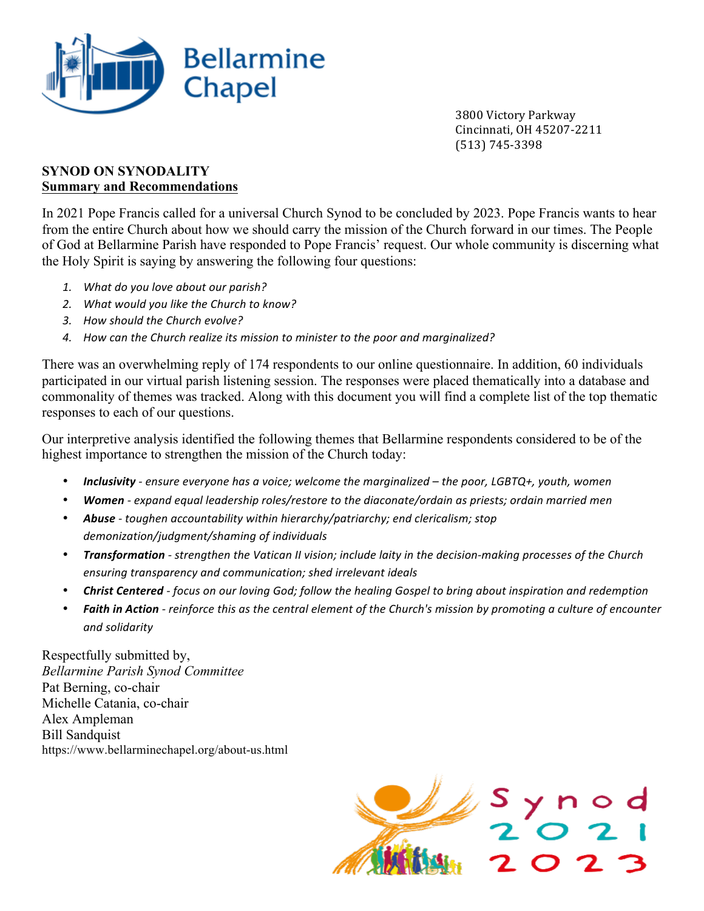

 3800 Victory Parkway Cincinnati, OH 45207-2211 (513) 745-3398

## **SYNOD ON SYNODALITY Summary and Recommendations**

In 2021 Pope Francis called for a universal Church Synod to be concluded by 2023. Pope Francis wants to hear from the entire Church about how we should carry the mission of the Church forward in our times. The People of God at Bellarmine Parish have responded to Pope Francis' request. Our whole community is discerning what the Holy Spirit is saying by answering the following four questions:

- 1. What do you love about our parish?
- 2. *What would you like the Church to know?*
- *3. How should the Church evolve?*
- 4. How can the Church realize its mission to minister to the poor and marginalized?

There was an overwhelming reply of 174 respondents to our online questionnaire. In addition, 60 individuals participated in our virtual parish listening session. The responses were placed thematically into a database and commonality of themes was tracked. Along with this document you will find a complete list of the top thematic responses to each of our questions.

Our interpretive analysis identified the following themes that Bellarmine respondents considered to be of the highest importance to strengthen the mission of the Church today:

- **Inclusivity** ensure everyone has a voice; welcome the marginalized the poor, LGBTQ+, youth, women
- **Women** expand equal leadership roles/restore to the diaconate/ordain as priests; ordain married men
- *Abuse toughen accountability within hierarchy/patriarchy; end clericalism; stop* demonization/judgment/shaming of individuals
- *Transformation strengthen the Vatican II vision; include laity in the decision-making processes of the Church ensuring transparency and communication; shed irrelevant ideals*
- **Christ Centered** focus on our loving God; follow the healing Gospel to bring about inspiration and redemption
- **Faith in Action** reinforce this as the central element of the Church's mission by promoting a culture of encounter *and solidarity*

Respectfully submitted by, *Bellarmine Parish Synod Committee* Pat Berning, co-chair Michelle Catania, co-chair Alex Ampleman Bill Sandquist https://www.bellarminechapel.org/about-us.html

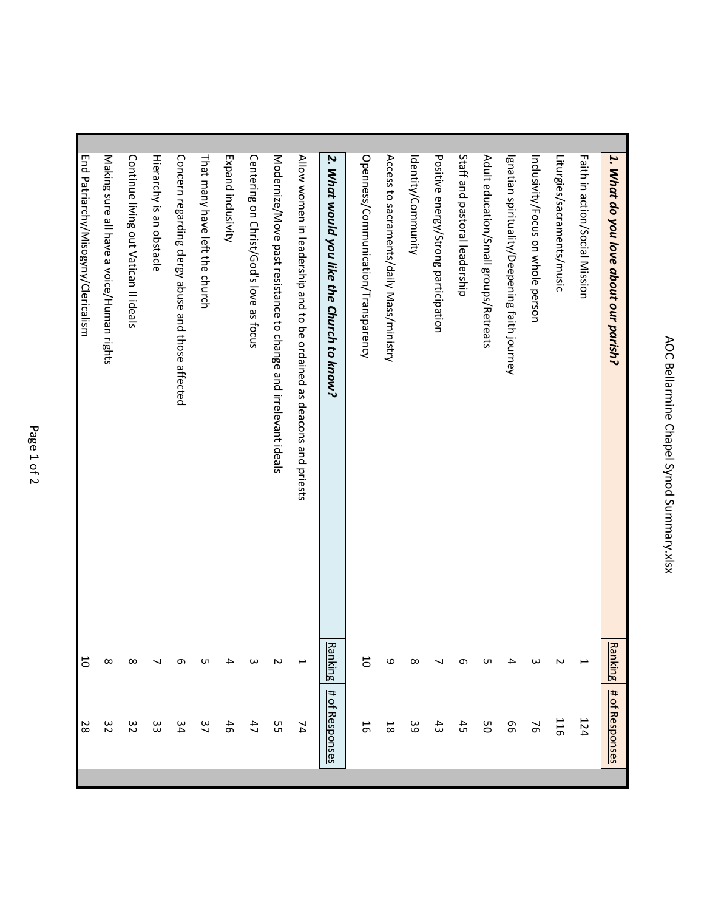| 1. What do you love about our parish?                               | <b>Ranking</b>           | # of Responses      |
|---------------------------------------------------------------------|--------------------------|---------------------|
| Faith in action/Social Mission                                      | $\overline{\phantom{a}}$ | 124                 |
| Liturgies/sacraments/music                                          | N                        | 116                 |
| Inclusivity/Focus on whole person                                   | ω                        | 76                  |
| Ignatian spirituality/Deepening faith journey                       | ≏                        | 99                  |
| Adult education/Small groups/Retreats                               | ഗ                        | 9S                  |
| Staff and pastoral leadership                                       | ᡡ                        | 45                  |
| Positive energy/Strong participation                                |                          | $\ddot{3}$          |
| Identity/Community                                                  | ∞                        | ဖိ                  |
| Access to sacraments/daily Mass/ministry                            | ဖ                        | $\overline{\infty}$ |
| Openness/Communication/Transparency                                 | 5                        | 5                   |
| 2. What would you like the Church to know?                          | <b>Ranking</b>           | # of Responses      |
| Allow women in leadership and to be ordained as deacons and priests | ⊢                        | 74                  |
| Modernize/Move past resistance to change and irrelevant ideals      | N                        | SЯ                  |
| Centering on Christ/God's love as focus                             | ω                        | 47                  |
| Expand inclusivity                                                  | ≏                        | 46                  |
| That many have left the church                                      | ഗ                        | 37                  |
| Concern regarding clergy abuse and those affected                   | თ                        | 34                  |
| Hierarchy is an obstacle                                            |                          | ပ္ပ                 |
| Continue living out Vatican II ideals                               | ∞                        | 32                  |
| Making sure all have a voice/Human rights                           | $\infty$                 | 32                  |
| End Patriarchy/Misogyny/Clericalism                                 | 5                        | 28                  |